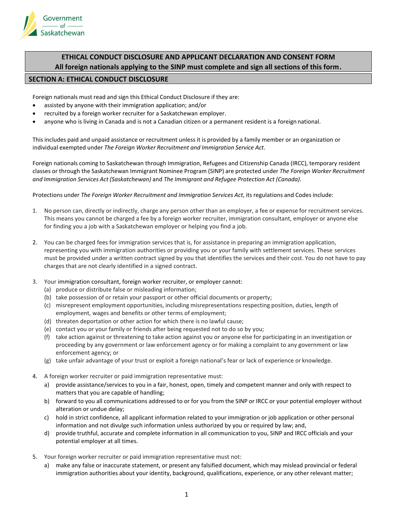

# **ETHICAL CONDUCT DISCLOSURE AND APPLICANT DECLARATION AND CONSENT FORM All foreign nationals applying to the SINP must complete and sign all sections of this form.**

## **SECTION A: ETHICAL CONDUCT DISCLOSURE**

Foreign nationals must read and sign this Ethical Conduct Disclosure if they are:

- assisted by anyone with their immigration application; and/or
- recruited by a foreign worker recruiter for a Saskatchewan employer.
- anyone who is living in Canada and is not a Canadian citizen or a permanent resident is a foreign national.

This includes paid and unpaid assistance or recruitment unless it is provided by a family member or an organization or individual exempted under *The Foreign Worker Recruitment and Immigration Service Act*.

Foreign nationals coming to Saskatchewan through Immigration, Refugees and Citizenship Canada (IRCC), temporary resident classes or through the Saskatchewan Immigrant Nominee Program (SINP) are protected under *The Foreign Worker Recruitment and Immigration Services Act (Saskatchewan)* and *The Immigrant and Refugee Protection Act (Canada)*.

Protections under *The Foreign Worker Recruitment and Immigration Services Act*, its regulations and Codesinclude:

- 1. No person can, directly or indirectly, charge any person other than an employer, a fee or expense for recruitment services. This means you cannot be charged a fee by a foreign worker recruiter, immigration consultant, employer or anyone else for finding you a job with a Saskatchewan employer or helping you find a job.
- 2. You can be charged fees for immigration services that is, for assistance in preparing an immigration application, representing you with immigration authorities or providing you or your family with settlement services. These services must be provided under a written contract signed by you that identifies the services and their cost. You do not have to pay charges that are not clearly identified in a signed contract.
- 3. Your immigration consultant, foreign worker recruiter, or employer cannot:
	- (a) produce or distribute false or misleading information;
	- (b) take possession of or retain your passport or other official documents or property;
	- (c) misrepresent employment opportunities, including misrepresentations respecting position, duties, length of employment, wages and benefits or other terms of employment;
	- (d) threaten deportation or other action for which there is no lawful cause;
	- (e) contact you or your family or friends after being requested not to do so by you;
	- (f) take action against or threatening to take action against you or anyone else for participating in an investigation or proceeding by any government or law enforcement agency or for making a complaint to any government or law enforcement agency; or
	- (g) take unfair advantage of your trust or exploit a foreign national's fear or lack of experience or knowledge.
- 4. A foreign worker recruiter or paid immigration representative must:
	- a) provide assistance/services to you in a fair, honest, open, timely and competent manner and only with respect to matters that you are capable of handling;
	- b) forward to you all communications addressed to or for you from the SINP or IRCC or your potential employer without alteration or undue delay;
	- c) hold in strict confidence, all applicant information related to your immigration or job application or other personal information and not divulge such information unless authorized by you or required by law; and,
	- d) provide truthful, accurate and complete information in all communication to you, SINP and IRCC officials and your potential employer at all times.
- 5. Your foreign worker recruiter or paid immigration representative must not:
	- a) make any false or inaccurate statement, or present any falsified document, which may mislead provincial or federal immigration authorities about your identity, background, qualifications, experience, or any other relevant matter;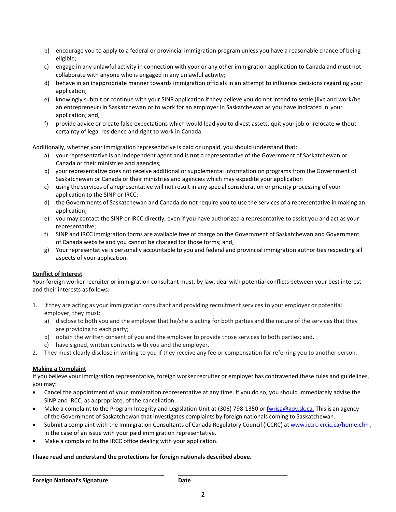- b) encourage you to apply to a federal or provincial immigration program unless you have a reasonable chance of being eligible;
- c) engage in any unlawful activity in connection with your or any other immigration application to Canada and must not collaborate with anyone who is engaged in any unlawful activity;
- d) behave in an inappropriate manner towards immigration officials in an attempt to influence decisions regarding your application;
- e) knowingly submit or continue with your SINP application if they believe you do not intend to settle (live and work/be an entrepreneur) in Saskatchewan or to work for an employer in Saskatchewan as you have indicated in your application; and,
- f) provide advice or create false expectations which would lead you to divest assets, quit your job or relocate without certainty of legal residence and right to work in Canada.

Additionally, whether your immigration representative is paid or unpaid, you should understand that:

- a) your representative is an independent agent and is **not** a representative of the Government of Saskatchewan or Canada or their ministries and agencies;
- b) your representative does not receive additional or supplemental information on programs from the Government of Saskatchewan or Canada or their ministries and agencies which may expedite your application
- c) using the services of a representative will not result in any special consideration or priority processing of your application to the SINP or IRCC;
- d) the Governments of Saskatchewan and Canada do not require you to use the services of a representative in making an application;
- e) you may contact the SINP or IRCC directly, even if you have authorized a representative to assist you and act as your representative;
- f) SINP and IRCC immigration forms are available free of charge on the Government of Saskatchewan and Government of Canada website and you cannot be charged for those forms; and,
- g) Your representative is personally accountable to you and federal and provincial immigration authorities respecting all aspects of your application.

# **Conflict of Interest**

Your foreign worker recruiter or immigration consultant must, by law, deal with potential conflicts between your best interest and their interests as follows:

- 1. If they are acting as your immigration consultant and providing recruitment services to your employer or potential employer, they must:
	- a) disclose to both you and the employer that he/she is acting for both parties and the nature of the services that they are providing to each party;
	- b) obtain the written consent of you and the employer to provide those services to both parties; and,
	- c) have signed, written contracts with you and the employer.
- 2. They must clearly disclose in writing to you if they receive any fee or compensation for referring you to another person.

#### **Making a Complaint**

If you believe your immigration representative, foreign worker recruiter or employer has contravened these rules and guidelines, you may:

- Cancel the appointment of your immigration representative at any time. If you do so, you should immediately advise the SINP and IRCC, as appropriate, of the cancellation.
- Make a complaint to the Program Integrity and Legislation Unit at (306) 798-1350 o[r fwrisa@gov.sk.ca.](mailto:fwrisa@gov.sk.ca.) This is an agency of the Government of Saskatchewan that investigates complaints by foreign nationals coming to Saskatchewan.
- Submit a complaint with the Immigration Consultants of Canada Regulatory Council (ICCRC) at [www.iccrc-crcic.ca/home.cfm](http://www.iccrc-crcic.ca/home.cfm) , in the case of an issue with your paid immigration representative.
- Make a complaint to the IRCC office dealing with your application.

#### **I have read and understand the protections for foreign nationals described above.**

**\_ \_**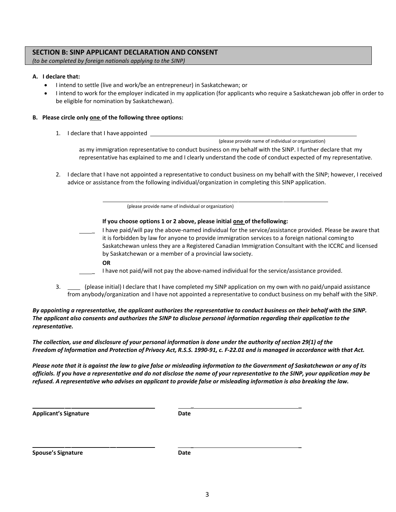# **SECTION B: SINP APPLICANT DECLARATION AND CONSENT**

*(to be completed by foreign nationals applying to the SINP)*

### **A. I declare that:**

- I intend to settle (live and work/be an entrepreneur) in Saskatchewan; or
- I intend to work for the employer indicated in my application (for applicants who require a Saskatchewan job offer in order to be eligible for nomination by Saskatchewan).

### **B. Please circle only one of the following three options:**

1. I declare that I have appointed

(please provide name of individual ororganization)

as my immigration representative to conduct business on my behalf with the SINP. I further declare that my representative has explained to me and I clearly understand the code of conduct expected of my representative.

2. I declare that I have not appointed a representative to conduct business on my behalf with the SINP; however, I received advice or assistance from the following individual/organization in completing this SINP application.

(please provide name of individual or organization)

### **If you choose options 1 or 2 above, please initial one of thefollowing:**

\_ I have paid/will pay the above-named individual for the service/assistance provided. Please be aware that it is forbidden by law for anyone to provide immigration services to a foreign national coming to Saskatchewan unless they are a Registered Canadian Immigration Consultant with the ICCRC and licensed by Saskatchewan or a member of a provincial lawsociety.

**\_ \_**

**\_ \_**

# **OR**

- I have not paid/will not pay the above-named individual for the service/assistance provided.
- 3. \_\_\_\_ (please initial) I declare that I have completed my SINP application on my own with no paid/unpaid assistance from anybody/organization and I have not appointed a representative to conduct business on my behalf with the SINP.

By appointing a representative, the applicant authorizes the representative to conduct business on their behalf with the SINP. *The applicant also consents and authorizes the SINP to disclose personal information regarding their application to the representative.*

The collection, use and disclosure of your personal information is done under the authority of section 29(1) of the Freedom of Information and Protection of Privacy Act, R.S.S. 1990-91, c. F-22.01 and is managed in accordance with that Act.

Please note that it is against the law to give false or misleading information to the Government of Saskatchewan or any of its officials. If you have a representative and do not disclose the name of your representative to the SINP, your application may be refused. A representative who advises an applicant to provide false or misleading information is also breaking the law.

**Applicant's Signature Date**

**Spouse's Signature Date**